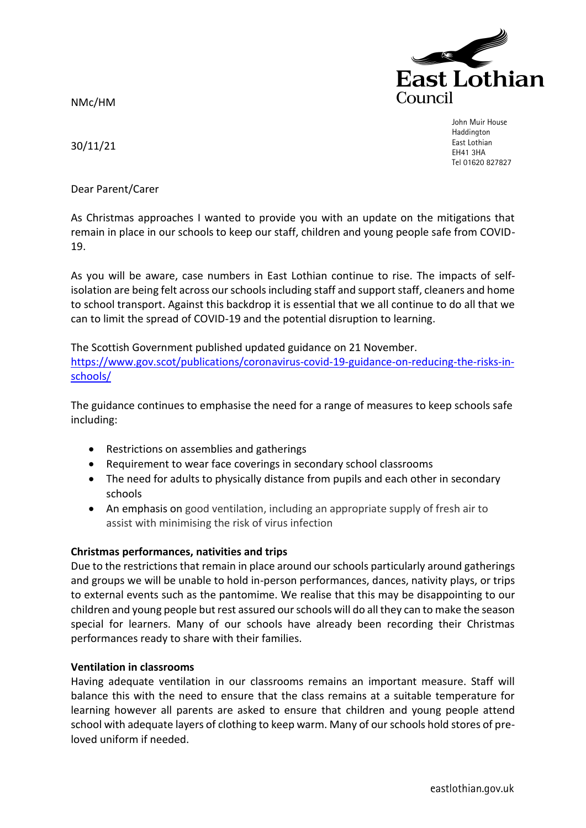NMc/HM



John Muir House Haddington East Lothian EH41 3HA Tel 01620 827827

30/11/21

Dear Parent/Carer

As Christmas approaches I wanted to provide you with an update on the mitigations that remain in place in our schools to keep our staff, children and young people safe from COVID-19.

As you will be aware, case numbers in East Lothian continue to rise. The impacts of selfisolation are being felt across our schools including staff and support staff, cleaners and home to school transport. Against this backdrop it is essential that we all continue to do all that we can to limit the spread of COVID-19 and the potential disruption to learning.

The Scottish Government published updated guidance on 21 November. [https://www.gov.scot/publications/coronavirus-covid-19-guidance-on-reducing-the-risks-in](https://www.gov.scot/publications/coronavirus-covid-19-guidance-on-reducing-the-risks-in-schools/)[schools/](https://www.gov.scot/publications/coronavirus-covid-19-guidance-on-reducing-the-risks-in-schools/)

The guidance continues to emphasise the need for a range of measures to keep schools safe including:

- Restrictions on assemblies and gatherings
- Requirement to wear face coverings in secondary school classrooms
- The need for adults to physically distance from pupils and each other in secondary schools
- An emphasis on good ventilation, including an appropriate supply of fresh air to assist with minimising the risk of virus infection

# **Christmas performances, nativities and trips**

Due to the restrictions that remain in place around our schools particularly around gatherings and groups we will be unable to hold in-person performances, dances, nativity plays, or trips to external events such as the pantomime. We realise that this may be disappointing to our children and young people but rest assured our schools will do all they can to make the season special for learners. Many of our schools have already been recording their Christmas performances ready to share with their families.

## **Ventilation in classrooms**

Having adequate ventilation in our classrooms remains an important measure. Staff will balance this with the need to ensure that the class remains at a suitable temperature for learning however all parents are asked to ensure that children and young people attend school with adequate layers of clothing to keep warm. Many of our schools hold stores of preloved uniform if needed.